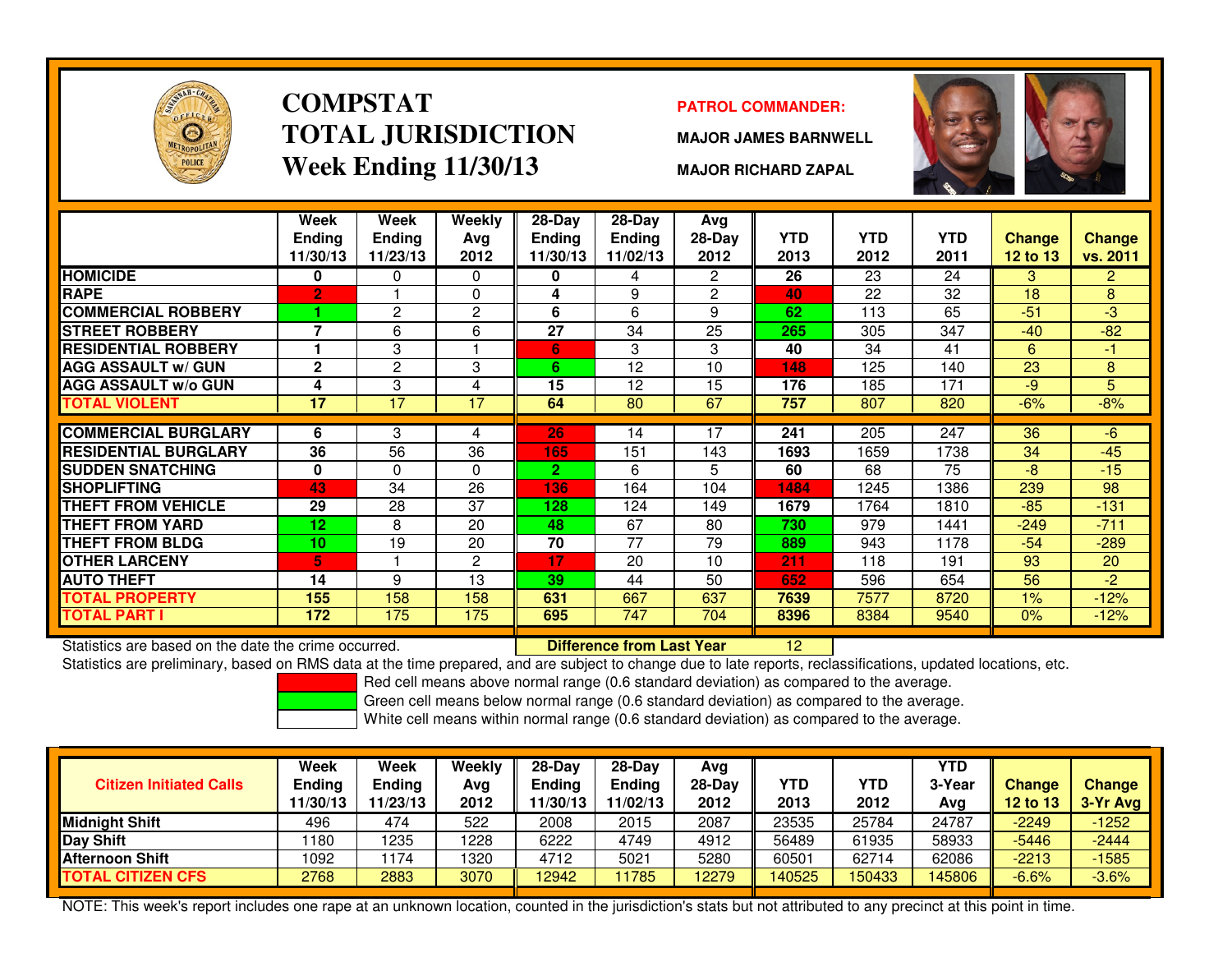

### **COMPSTATTOTAL JURISDICTIONWeek Ending 11/30/13**

### **PATROL COMMANDER:**

**MAJOR JAMES BARNWELL**

**MAJOR RICHARD ZAPAL**



|                             | Week            | Week            | Weekly         | $28-Day$       | $28-Day$      | Avg            |            |            |            |               |                |
|-----------------------------|-----------------|-----------------|----------------|----------------|---------------|----------------|------------|------------|------------|---------------|----------------|
|                             | <b>Endina</b>   | <b>Ending</b>   | Avg            | <b>Ending</b>  | <b>Ending</b> | $28-Day$       | <b>YTD</b> | <b>YTD</b> | <b>YTD</b> | <b>Change</b> | <b>Change</b>  |
|                             | 11/30/13        | 11/23/13        | 2012           | 11/30/13       | 11/02/13      | 2012           | 2013       | 2012       | 2011       | 12 to 13      | vs. 2011       |
| <b>HOMICIDE</b>             | 0               | 0               | 0              | 0              | 4             | $\overline{2}$ | 26         | 23         | 24         | 3             | $\overline{2}$ |
| <b>RAPE</b>                 | $\overline{2}$  |                 | $\Omega$       | 4              | 9             | $\overline{c}$ | 40         | 22         | 32         | 18            | 8              |
| <b>COMMERCIAL ROBBERY</b>   |                 | $\overline{2}$  | $\overline{2}$ | 6              | 6             | 9              | 62         | 113        | 65         | $-51$         | $-3$           |
| <b>STREET ROBBERY</b>       | 7               | 6               | 6              | 27             | 34            | 25             | 265        | 305        | 347        | $-40$         | $-82$          |
| <b>RESIDENTIAL ROBBERY</b>  |                 | 3               |                | 6              | 3             | 3              | 40         | 34         | 41         | 6             | $-1$           |
| <b>AGG ASSAULT w/ GUN</b>   | $\mathbf{2}$    | 2               | 3              | 6              | 12            | 10             | 148        | 125        | 140        | 23            | 8              |
| <b>AGG ASSAULT w/o GUN</b>  | 4               | 3               | 4              | 15             | 12            | 15             | 176        | 185        | 171        | $-9$          | 5              |
| <b>TOTAL VIOLENT</b>        | 17              | $\overline{17}$ | 17             | 64             | 80            | 67             | 757        | 807        | 820        | $-6%$         | $-8%$          |
|                             |                 |                 |                |                |               |                |            |            |            |               |                |
| <b>COMMERCIAL BURGLARY</b>  | 6               | 3               | 4              | 26             | 14            | 17             | 241        | 205        | 247        | 36            | $-6$           |
| <b>RESIDENTIAL BURGLARY</b> | 36              | 56              | 36             | 165            | 151           | 143            | 1693       | 1659       | 1738       | 34            | $-45$          |
| <b>SUDDEN SNATCHING</b>     | 0               | 0               | 0              | $\overline{2}$ | 6             | 5.             | 60         | 68         | 75         | $-8$          | $-15$          |
| <b>SHOPLIFTING</b>          | 43              | 34              | 26             | 136            | 164           | 104            | 1484       | 1245       | 1386       | 239           | 98             |
| <b>THEFT FROM VEHICLE</b>   | 29              | 28              | 37             | 128            | 124           | 149            | 1679       | 1764       | 1810       | $-85$         | $-131$         |
| THEFT FROM YARD             | $12 \,$         | 8               | 20             | 48             | 67            | 80             | 730        | 979        | 1441       | $-249$        | $-711$         |
| <b>THEFT FROM BLDG</b>      | 10 <sup>1</sup> | 19              | 20             | 70             | 77            | 79             | 889        | 943        | 1178       | $-54$         | $-289$         |
| <b>OTHER LARCENY</b>        | 5.              |                 | $\overline{2}$ | 17             | 20            | 10             | 211        | 118        | 191        | 93            | 20             |
| <b>AUTO THEFT</b>           | 14              | 9               | 13             | 39             | 44            | 50             | 652        | 596        | 654        | 56            | $-2$           |
| <b>TOTAL PROPERTY</b>       | 155             | 158             | 158            | 631            | 667           | 637            | 7639       | 7577       | 8720       | 1%            | $-12%$         |
| <b>TOTAL PART I</b>         | 172             | 175             | 175            | 695            | 747           | 704            | 8396       | 8384       | 9540       | 0%            | $-12%$         |

Statistics are based on the date the crime occurred. **Difference from Last Year** 

Statistics are based on the date the crime occurred. **[12] Difference from Last Year [2] [2] [2] Statistics** are preliminary, based on RMS data at the time prepared, and are subject to change due to late reports, reclassif

Red cell means above normal range (0.6 standard deviation) as compared to the average.

Green cell means below normal range (0.6 standard deviation) as compared to the average.

White cell means within normal range (0.6 standard deviation) as compared to the average.

| <b>Citizen Initiated Calls</b> | Week<br>Ending<br>11/30/13 | <b>Week</b><br><b>Ending</b><br>11/23/13 | Weekly<br>Avg<br>2012 | $28-Dav$<br>Ending<br>1/30/13 | $28-Dav$<br><b>Ending</b><br>11/02/13 | Avg<br>28-Dav<br>2012 | <b>YTD</b><br>2013 | YTD<br>2012 | <b>YTD</b><br>3-Year<br>Avg | <b>Change</b><br><b>12 to 13</b> | <b>Change</b><br>$3-Yr$ Avg |
|--------------------------------|----------------------------|------------------------------------------|-----------------------|-------------------------------|---------------------------------------|-----------------------|--------------------|-------------|-----------------------------|----------------------------------|-----------------------------|
| Midnight Shift                 | 496                        | 474                                      | 522                   | 2008                          | 2015                                  | 2087                  | 23535              | 25784       | 24787                       | $-2249$                          | $-1252$                     |
| Day Shift                      | 180                        | 1235                                     | 1228                  | 6222                          | 4749                                  | 4912                  | 56489              | 61935       | 58933                       | $-5446$                          | $-2444$                     |
| <b>Afternoon Shift</b>         | 1092                       | 174                                      | 1320                  | 4712                          | 5021                                  | 5280                  | 60501              | 62714       | 62086                       | $-2213$                          | $-1585$                     |
| <b>TOTAL CITIZEN CFS</b>       | 2768                       | 2883                                     | 3070                  | 12942                         | 11785                                 | 2279                  | 40525              | 150433      | 145806                      | $-6.6%$                          | $-3.6%$                     |

NOTE: This week's report includes one rape at an unknown location, counted in the jurisdiction's stats but not attributed to any precinct at this point in time.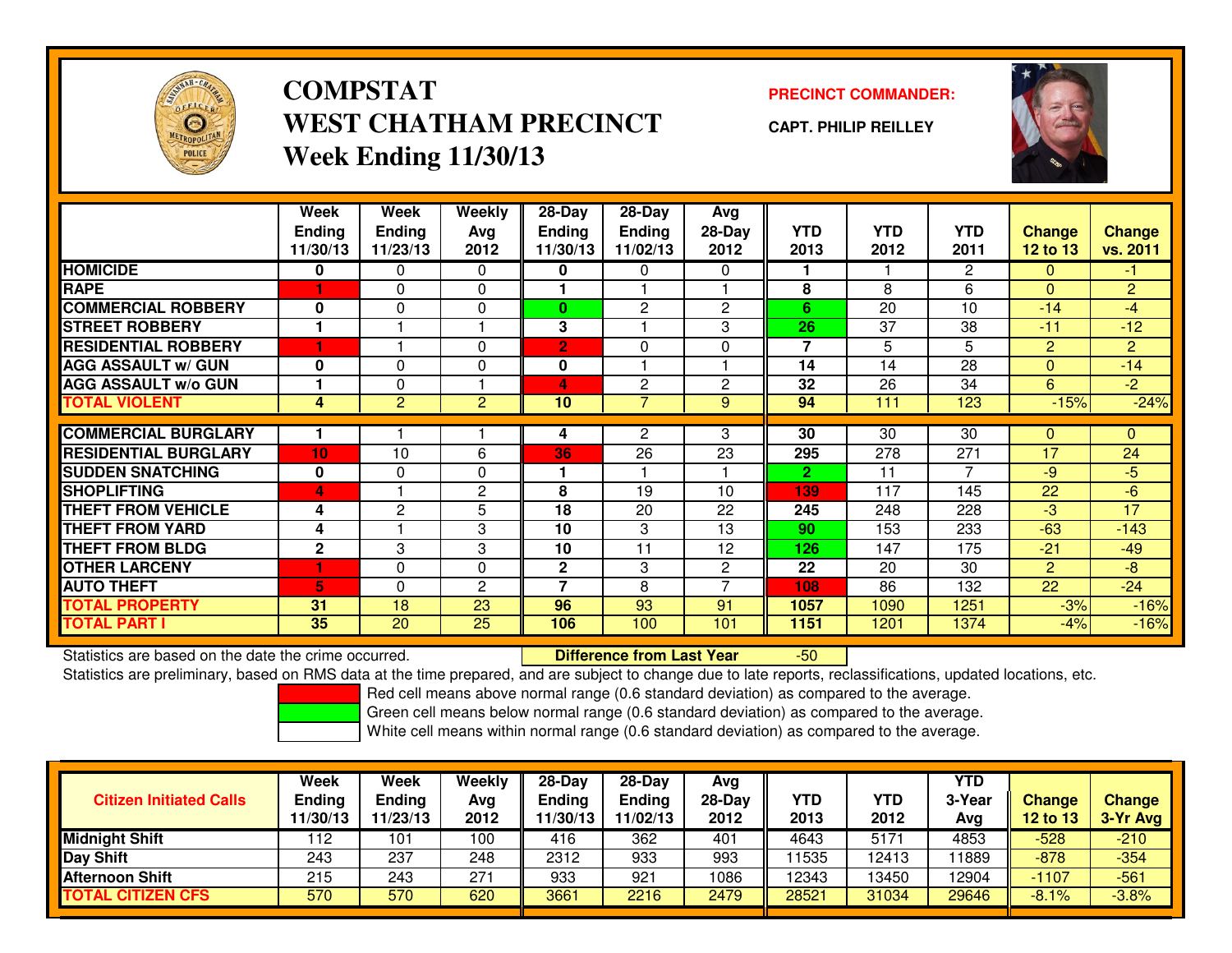

# **COMPSTATWEST CHATHAM PRECINCTWeek Ending 11/30/13**

### **PRECINCT COMMANDER:**

**CAPT. PHILIP REILLEY**



|                             | Week<br><b>Ending</b><br>11/30/13 | Week<br><b>Ending</b><br>11/23/13 | Weekly<br>Ava<br>2012 | 28-Day<br><b>Ending</b><br>11/30/13 | 28-Day<br><b>Ending</b><br>11/02/13 | Avg<br>$28-Day$<br>2012 | <b>YTD</b><br>2013 | <b>YTD</b><br>2012 | <b>YTD</b><br>2011 | <b>Change</b><br>12 to 13 | <b>Change</b><br>vs. 2011 |
|-----------------------------|-----------------------------------|-----------------------------------|-----------------------|-------------------------------------|-------------------------------------|-------------------------|--------------------|--------------------|--------------------|---------------------------|---------------------------|
| <b>HOMICIDE</b>             | 0                                 | 0                                 | 0                     | 0                                   | 0                                   | 0                       |                    |                    | $\overline{2}$     | $\Omega$                  | $-1$                      |
| <b>RAPE</b>                 |                                   | 0                                 | $\Omega$              |                                     |                                     |                         | 8                  | 8                  | 6                  | $\Omega$                  | $\overline{2}$            |
| <b>COMMERCIAL ROBBERY</b>   | $\bf{0}$                          | $\Omega$                          | 0                     | $\bf{0}$                            | 2                                   | $\overline{2}$          | 6                  | 20                 | 10                 | $-14$                     | -4                        |
| <b>STREET ROBBERY</b>       |                                   |                                   |                       | 3                                   |                                     | 3                       | 26                 | 37                 | 38                 | $-11$                     | $-12$                     |
| <b>RESIDENTIAL ROBBERY</b>  | ٠                                 |                                   | $\Omega$              | $\overline{2}$                      | 0                                   | $\Omega$                | $\overline{7}$     | 5                  | 5                  | 2                         | $\overline{2}$            |
| <b>AGG ASSAULT w/ GUN</b>   | 0                                 | $\Omega$                          | $\Omega$              | 0                                   |                                     |                         | 14                 | 14                 | 28                 | $\Omega$                  | $-14$                     |
| <b>AGG ASSAULT w/o GUN</b>  |                                   | $\Omega$                          |                       | 4                                   | $\overline{2}$                      | $\mathbf{2}$            | 32                 | 26                 | 34                 | 6                         | $-2$                      |
| <b>TOTAL VIOLENT</b>        | 4                                 | $\overline{c}$                    | $\overline{2}$        | 10                                  |                                     | 9                       | 94                 | 111                | 123                | $-15%$                    | $-24%$                    |
|                             |                                   |                                   |                       |                                     |                                     |                         |                    |                    |                    |                           |                           |
| <b>COMMERCIAL BURGLARY</b>  |                                   |                                   |                       | 4                                   | $\overline{2}$                      | 3                       | 30                 | 30                 | 30                 | 0                         | $\mathbf{0}$              |
| <b>RESIDENTIAL BURGLARY</b> | 10 <sub>1</sub>                   | 10                                | 6                     | 36                                  | 26                                  | 23                      | 295                | 278                | 271                | 17                        | 24                        |
| <b>SUDDEN SNATCHING</b>     | 0                                 | 0                                 | $\Omega$              |                                     |                                     |                         | $\mathbf{2}$       | 11                 | 7                  | $-9$                      | $-5$                      |
| <b>SHOPLIFTING</b>          | 4                                 |                                   | 2                     | 8                                   | 19                                  | 10                      | 139                | 117                | 145                | 22                        | $-6$                      |
| <b>THEFT FROM VEHICLE</b>   | 4                                 | $\mathbf{2}$                      | 5                     | 18                                  | 20                                  | 22                      | 245                | 248                | 228                | -3                        | 17                        |
| <b>THEFT FROM YARD</b>      | 4                                 |                                   | 3                     | 10                                  | 3                                   | 13                      | 90                 | 153                | 233                | $-63$                     | $-143$                    |
| <b>THEFT FROM BLDG</b>      | $\mathbf{2}$                      | 3                                 | 3                     | 10                                  | 11                                  | 12                      | 126                | 147                | 175                | $-21$                     | $-49$                     |
| <b>OTHER LARCENY</b>        | 1                                 | $\Omega$                          | $\Omega$              | $\mathbf{2}$                        | 3                                   | $\mathbf{2}^{\prime}$   | 22                 | 20                 | 30                 | 2                         | $-8$                      |
| <b>AUTO THEFT</b>           | 5                                 | 0                                 | 2                     | ⇁                                   | 8                                   | 7                       | 108                | 86                 | 132                | 22                        | $-24$                     |
| <b>TOTAL PROPERTY</b>       | 31                                | 18                                | 23                    | 96                                  | 93                                  | 91                      | 1057               | 1090               | 1251               | $-3%$                     | $-16%$                    |
| <b>TOTAL PART I</b>         | 35                                | 20                                | 25                    | 106                                 | 100                                 | 101                     | 1151               | 1201               | 1374               | -4%                       | $-16%$                    |

Statistics are based on the date the crime occurred. **Difference from Last Year** 

Statistics are based on the date the crime occurred.<br>Statistics are preliminary, based on RMS data at the time prepared, and are subject to change due to late reports, reclassifications, updated locations, etc.

Red cell means above normal range (0.6 standard deviation) as compared to the average.

Green cell means below normal range (0.6 standard deviation) as compared to the average.

| <b>Citizen Initiated Calls</b> | Week<br><b>Ending</b><br>11/30/13 | Week<br><b>Ending</b><br>11/23/13 | Weekly<br>Avg<br>2012 | $28-Day$<br>Ending<br>11/30/13 | $28-Day$<br><b>Ending</b><br>11/02/13 | Avg<br>28-Day<br>2012 | YTD<br>2013 | YTD<br>2012 | <b>YTD</b><br>3-Year<br>Avg | <b>Change</b><br>12 to 13 | <b>Change</b><br>3-Yr Avg |
|--------------------------------|-----------------------------------|-----------------------------------|-----------------------|--------------------------------|---------------------------------------|-----------------------|-------------|-------------|-----------------------------|---------------------------|---------------------------|
| <b>Midnight Shift</b>          | 112                               | 101                               | 100                   | 416                            | 362                                   | 401                   | 4643        | 5171        | 4853                        | $-528$                    | $-210$                    |
| <b>Day Shift</b>               | 243                               | 237                               | 248                   | 2312                           | 933                                   | 993                   | 11535       | 12413       | 1889                        | $-878$                    | $-354$                    |
| <b>Afternoon Shift</b>         | 215                               | 243                               | 271                   | 933                            | 921                                   | 1086                  | 12343       | 3450        | 12904                       | $-1107$                   | $-561$                    |
| <b>TOTAL CITIZEN CFS</b>       | 570                               | 570                               | 620                   | 3661                           | 2216                                  | 2479                  | 28521       | 31034       | 29646                       | $-8.1\%$                  | $-3.8%$                   |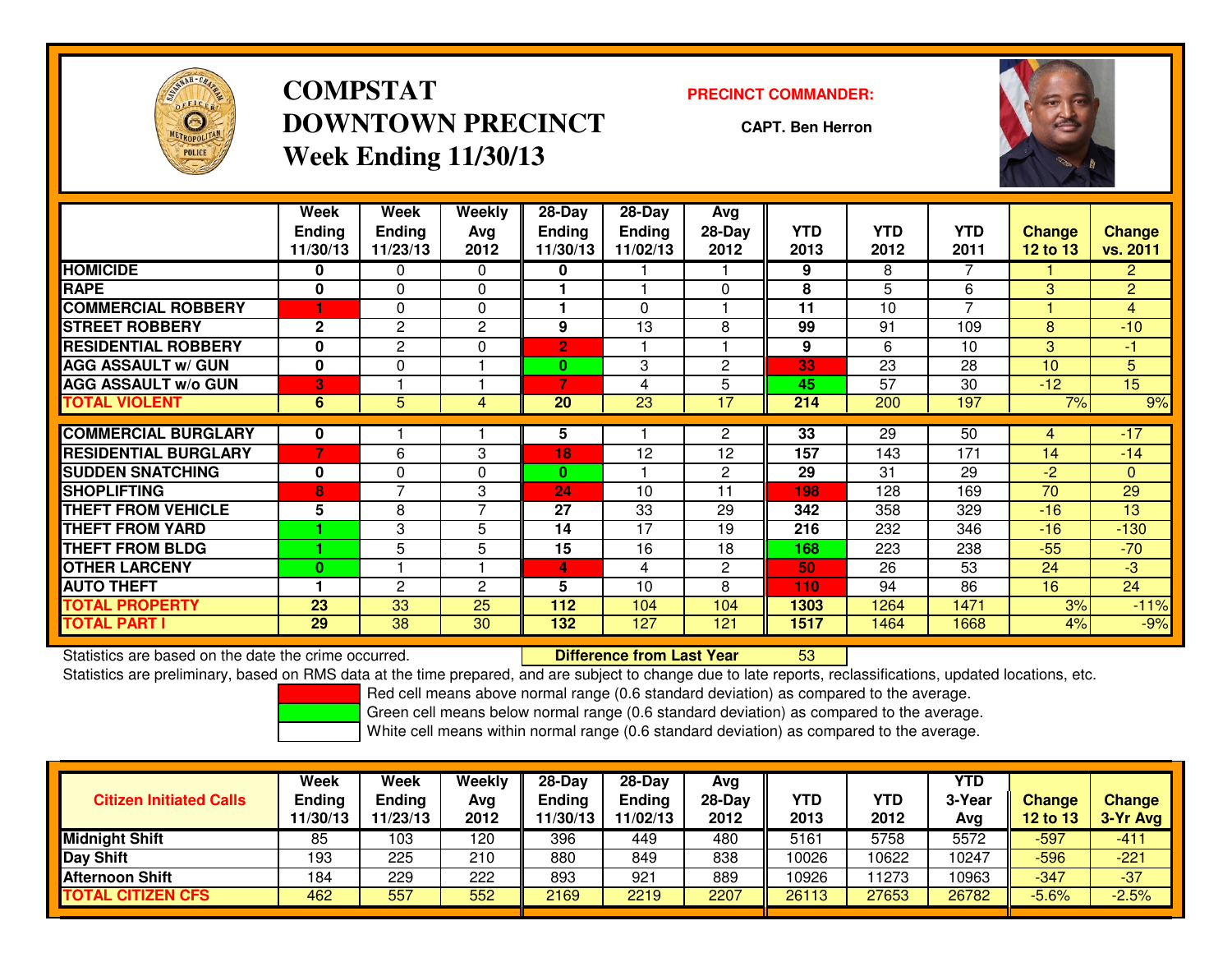

# **COMPSTATDOWNTOWN PRECINCTWeek Ending 11/30/13**

#### **PRECINCT COMMANDER:**

**CAPT. Ben Herron**



|                             | Week<br><b>Endina</b><br>11/30/13 | Week<br><b>Ending</b><br>11/23/13 | Weekly<br>Avg<br>2012 | 28-Day<br><b>Endina</b><br>11/30/13 | 28-Day<br><b>Endina</b><br>11/02/13 | Avg<br>$28-Day$<br>2012 | <b>YTD</b><br>2013 | <b>YTD</b><br>2012 | <b>YTD</b><br>2011 | Change<br>12 to 13 | <b>Change</b><br>vs. 2011 |
|-----------------------------|-----------------------------------|-----------------------------------|-----------------------|-------------------------------------|-------------------------------------|-------------------------|--------------------|--------------------|--------------------|--------------------|---------------------------|
| <b>HOMICIDE</b>             | 0                                 | 0                                 | 0                     | 0                                   |                                     |                         | 9                  | 8                  | 7                  |                    | $\overline{2}$            |
| <b>RAPE</b>                 | $\mathbf 0$                       | $\Omega$                          | $\mathbf{0}$          |                                     |                                     | $\Omega$                | 8                  | 5                  | 6                  | 3                  | $\overline{2}$            |
| <b>COMMERCIAL ROBBERY</b>   |                                   | 0                                 | 0                     |                                     | 0                                   |                         | 11                 | 10                 | 7                  |                    | $\overline{4}$            |
| <b>STREET ROBBERY</b>       | $\mathbf{2}$                      | $\overline{2}$                    | 2                     | 9                                   | 13                                  | 8                       | 99                 | 91                 | 109                | 8                  | $-10$                     |
| <b>RESIDENTIAL ROBBERY</b>  | $\bf{0}$                          | $\overline{c}$                    | 0                     | 2                                   |                                     |                         | 9                  | 6                  | 10                 | 3                  | -1                        |
| <b>AGG ASSAULT w/ GUN</b>   | $\mathbf{0}$                      | 0                                 |                       | $\mathbf{0}$                        | 3                                   | 2                       | 33                 | 23                 | 28                 | 10                 | 5 <sup>5</sup>            |
| <b>AGG ASSAULT w/o GUN</b>  | 3                                 |                                   |                       | 7                                   | 4                                   | 5                       | 45                 | 57                 | 30                 | $-12$              | $\overline{15}$           |
| <b>TOTAL VIOLENT</b>        | 6                                 | 5                                 | 4                     | 20                                  | 23                                  | 17                      | 214                | 200                | 197                | 7%                 | 9%                        |
| <b>COMMERCIAL BURGLARY</b>  | 0                                 |                                   |                       | 5                                   |                                     | $\overline{2}$          | 33                 | 29                 | 50                 | 4                  | $-17$                     |
|                             | 7                                 |                                   |                       |                                     |                                     |                         |                    |                    |                    | 14                 |                           |
| <b>RESIDENTIAL BURGLARY</b> |                                   | 6                                 | 3                     | 18                                  | 12                                  | 12                      | 157                | 143                | 171                |                    | $-14$                     |
| <b>SUDDEN SNATCHING</b>     | 0                                 | 0                                 | 0                     | $\bf{0}$                            |                                     | 2                       | 29                 | 31                 | 29                 | $-2$               | $\mathbf{0}$              |
| <b>SHOPLIFTING</b>          | 8                                 | $\overline{\phantom{a}}$          | 3                     | 24                                  | 10                                  | 11                      | 198                | 128                | 169                | 70                 | 29                        |
| <b>THEFT FROM VEHICLE</b>   | 5                                 | 8                                 | $\overline{7}$        | 27                                  | 33                                  | 29                      | 342                | 358                | 329                | $-16$              | 13                        |
| <b>THEFT FROM YARD</b>      |                                   | 3                                 | 5                     | 14                                  | 17                                  | 19                      | 216                | 232                | 346                | $-16$              | $-130$                    |
| <b>THEFT FROM BLDG</b>      |                                   | 5                                 | 5                     | 15                                  | 16                                  | 18                      | 168                | 223                | 238                | $-55$              | $-70$                     |
| <b>OTHER LARCENY</b>        | $\mathbf{0}$                      |                                   |                       | 4                                   | 4                                   | $\overline{2}$          | 50                 | 26                 | 53                 | 24                 | $-3$                      |
| <b>AUTO THEFT</b>           |                                   | 2                                 | $\mathbf{c}$          | 5                                   | 10                                  | 8                       | 110                | 94                 | 86                 | 16                 | 24                        |
| <b>TOTAL PROPERTY</b>       | 23                                | 33                                | 25                    | 112                                 | 104                                 | 104                     | 1303               | 1264               | 1471               | 3%                 | $-11%$                    |
| <b>TOTAL PART I</b>         | 29                                | 38                                | 30                    | 132                                 | 127                                 | 121                     | 1517               | 1464               | 1668               | 4%                 | $-9%$                     |

Statistics are based on the date the crime occurred. **Difference from Last Year** 

Statistics are based on the date the crime occurred.<br>Statistics are preliminary, based on RMS data at the time prepared, and are subject to change due to late reports, reclassifications, updated locations, etc.

Red cell means above normal range (0.6 standard deviation) as compared to the average.

Green cell means below normal range (0.6 standard deviation) as compared to the average.

| <b>Citizen Initiated Calls</b> | Week<br><b>Ending</b><br>11/30/13 | <b>Week</b><br>Ending<br>11/23/13 | Weekly<br>Avg<br>2012 | $28-Dav$<br><b>Ending</b><br>1/30/13 | 28-Day<br><b>Ending</b><br>11/02/13 | Avg<br>$28-Day$<br>2012 | <b>YTD</b><br>2013 | YTD<br>2012 | YTD<br>3-Year<br>Avg | <b>Change</b><br>12 to 13 | <b>Change</b><br>3-Yr Avg |
|--------------------------------|-----------------------------------|-----------------------------------|-----------------------|--------------------------------------|-------------------------------------|-------------------------|--------------------|-------------|----------------------|---------------------------|---------------------------|
| <b>Midnight Shift</b>          | 85                                | 103                               | 120                   | 396                                  | 449                                 | 480                     | 5161               | 5758        | 5572                 | $-597$                    | $-411$                    |
| <b>Day Shift</b>               | 193                               | 225                               | 210                   | 880                                  | 849                                 | 838                     | 10026              | 10622       | 10247                | $-596$                    | $-221$                    |
| <b>Afternoon Shift</b>         | 184                               | 229                               | 222                   | 893                                  | 921                                 | 889                     | 10926              | 1273        | 10963                | $-347$                    | $-37$                     |
| <b>TOTAL CITIZEN CFS</b>       | 462                               | 557                               | 552                   | 2169                                 | 2219                                | 2207                    | 26113              | 27653       | 26782                | $-5.6%$                   | $-2.5%$                   |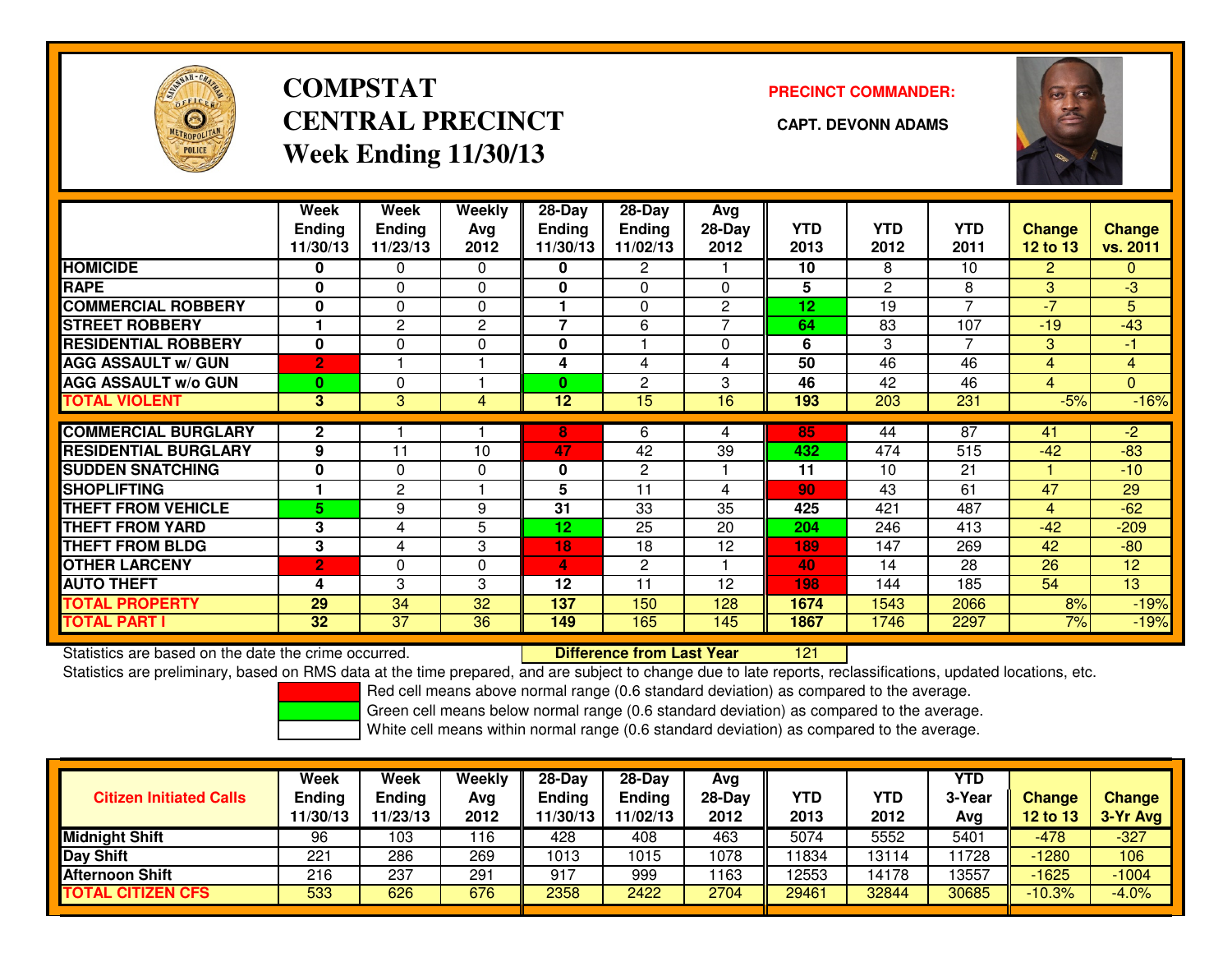

# **COMPSTATCENTRAL PRECINCT** CAPT. DEVONN ADAMS **Week Ending 11/30/13**

### **PRECINCT COMMANDER:**



|                             | Week           | Week            | <b>Weekly</b> | 28-Day        | $28-Day$       | Avg            |            |                 |                |                |                |
|-----------------------------|----------------|-----------------|---------------|---------------|----------------|----------------|------------|-----------------|----------------|----------------|----------------|
|                             | <b>Ending</b>  | <b>Ending</b>   | Ava           | <b>Ending</b> | <b>Ending</b>  | 28-Day         | <b>YTD</b> | <b>YTD</b>      | YTD            | <b>Change</b>  | <b>Change</b>  |
|                             | 11/30/13       | 11/23/13        | 2012          | 11/30/13      | 11/02/13       | 2012           | 2013       | 2012            | 2011           | $12$ to $13$   | vs. 2011       |
| <b>HOMICIDE</b>             | 0              | 0               | $\Omega$      | 0             | 2              |                | 10         | 8               | 10             | $\overline{2}$ | 0              |
| <b>RAPE</b>                 | 0              | $\Omega$        | $\Omega$      | 0             | $\Omega$       | $\Omega$       | 5          | $\mathbf{2}$    | 8              | 3              | $\overline{3}$ |
| <b>COMMERCIAL ROBBERY</b>   | 0              | $\Omega$        | $\Omega$      |               | $\Omega$       | $\overline{c}$ | 12         | 19              | 7              | $-7$           | 5              |
| <b>STREET ROBBERY</b>       |                | $\overline{2}$  | $\mathbf{2}$  | 7             | 6              |                | 64         | 83              | 107            | $-19$          | $-43$          |
| <b>RESIDENTIAL ROBBERY</b>  | $\bf{0}$       | $\Omega$        | 0             | $\mathbf{0}$  |                | $\Omega$       | 6          | 3               | $\overline{7}$ | 3              | $-1$           |
| <b>AGG ASSAULT w/ GUN</b>   | $\overline{2}$ |                 |               | 4             | 4              | 4              | 50         | $\overline{46}$ | 46             | 4              | $\overline{4}$ |
| <b>AGG ASSAULT w/o GUN</b>  | $\bf{0}$       | $\Omega$        |               | $\bf{0}$      | $\overline{c}$ | 3              | 46         | 42              | 46             | $\overline{4}$ | $\overline{0}$ |
| <b>TOTAL VIOLENT</b>        | 3              | 3               | 4             | 12            | 15             | 16             | 193        | 203             | 231            | $-5%$          | $-16%$         |
|                             |                |                 |               |               |                |                |            |                 | 87             |                |                |
| <b>COMMERCIAL BURGLARY</b>  | $\mathbf{2}$   |                 |               | 8             | 6              | 4              | 85         | 44              |                | 41             | $-2$           |
| <b>RESIDENTIAL BURGLARY</b> | 9              | 11              | 10            | 47            | 42             | 39             | 432        | 474             | 515            | $-42$          | $-83$          |
| <b>ISUDDEN SNATCHING</b>    | 0              | $\Omega$        | $\Omega$      | 0             | $\mathbf{2}$   |                | 11         | 10              | 21             |                | $-10$          |
| <b>SHOPLIFTING</b>          |                | $\overline{2}$  |               | 5             | 11             | 4              | 90         | 43              | 61             | 47             | 29             |
| <b>THEFT FROM VEHICLE</b>   | 5              | 9               | 9             | 31            | 33             | 35             | 425        | 421             | 487            | $\overline{4}$ | $-62$          |
| <b>THEFT FROM YARD</b>      | 3              | 4               | 5             | 12            | 25             | 20             | 204        | 246             | 413            | $-42$          | $-209$         |
| <b>THEFT FROM BLDG</b>      | 3              | 4               | 3             | 18            | 18             | 12             | 189        | 147             | 269            | 42             | $-80$          |
| <b>OTHER LARCENY</b>        | $\overline{2}$ | $\Omega$        | 0             | 4             | $\mathbf{2}$   |                | 40         | 14              | 28             | 26             | 12             |
| <b>AUTO THEFT</b>           | 4              | 3               | 3             | 12            | 11             | 12             | 198        | 144             | 185            | 54             | 13             |
| <b>TOTAL PROPERTY</b>       | 29             | 34              | 32            | 137           | 150            | 128            | 1674       | 1543            | 2066           | 8%             | $-19%$         |
| <b>TOTAL PART I</b>         | 32             | $\overline{37}$ | 36            | 149           | 165            | 145            | 1867       | 1746            | 2297           | 7%             | $-19%$         |

Statistics are based on the date the crime occurred. **Difference from Last Year** 

<sup>121</sup>

Statistics are preliminary, based on RMS data at the time prepared, and are subject to change due to late reports, reclassifications, updated locations, etc.

Red cell means above normal range (0.6 standard deviation) as compared to the average.

Green cell means below normal range (0.6 standard deviation) as compared to the average.

| <b>Citizen Initiated Calls</b> | Week<br>Ending<br>11/30/13 | Week<br>Ending<br>11/23/13 | <b>Weekly</b><br>Avg<br>2012 | $28-Day$<br><b>Ending</b><br>11/30/13 | $28 - Day$<br><b>Ending</b><br>11/02/13 | Avg<br>28-Day<br>2012 | YTD<br>2013 | YTD<br>2012 | <b>YTD</b><br>3-Year<br>Avg | Change<br>$12$ to $13$ | <b>Change</b><br>3-Yr Avg |
|--------------------------------|----------------------------|----------------------------|------------------------------|---------------------------------------|-----------------------------------------|-----------------------|-------------|-------------|-----------------------------|------------------------|---------------------------|
| <b>Midnight Shift</b>          | 96                         | 103                        | 16                           | 428                                   | 408                                     | 463                   | 5074        | 5552        | 5401                        | $-478$                 | $-327$                    |
| Day Shift                      | 221                        | 286                        | 269                          | 1013                                  | 1015                                    | 1078                  | 1834        | 13114       | 1728                        | $-1280$                | 106                       |
| <b>Afternoon Shift</b>         | 216                        | 237                        | 291                          | 917                                   | 999                                     | 1163                  | 12553       | 14178       | 13557                       | $-1625$                | $-1004$                   |
| <b>TOTAL CITIZEN CFS</b>       | 533                        | 626                        | 676                          | 2358                                  | 2422                                    | 2704                  | 29461       | 32844       | 30685                       | $-10.3%$               | $-4.0%$                   |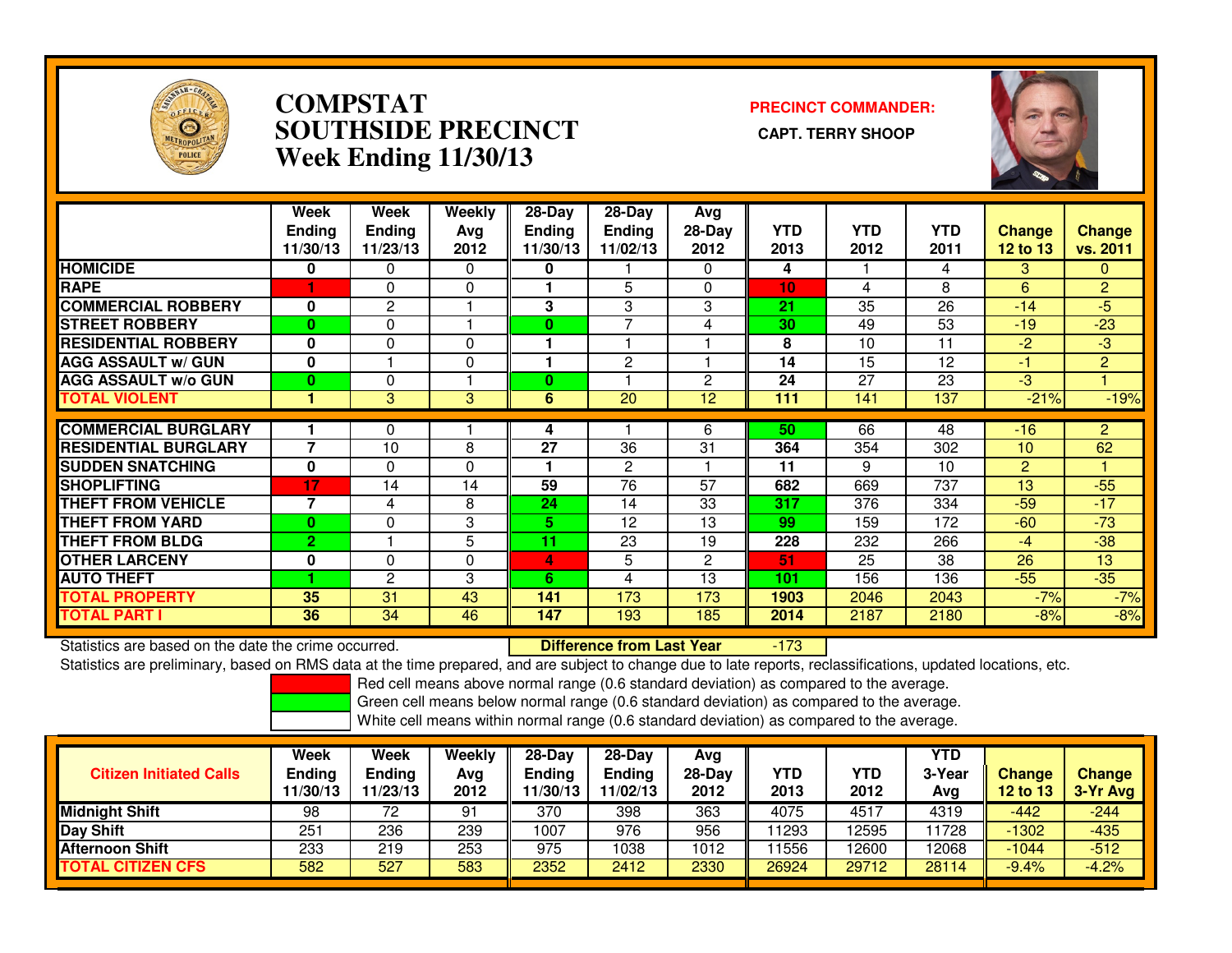

### **COMPSTAT PRECINCT COMMANDER: SOUTHSIDE PRECINCT CAPT. TERRY SHOOPWeek Ending 11/30/13**



|                             | Week<br><b>Ending</b><br>11/30/13 | Week<br><b>Endina</b><br>11/23/13 | Weekly<br>Avg<br>2012 | $28$ -Day<br>Endina<br>11/30/13 | $28$ -Day<br><b>Endina</b><br>11/02/13 | Avg<br>$28-Day$<br>2012 | <b>YTD</b><br>2013 | <b>YTD</b><br>2012 | <b>YTD</b><br>2011 | <b>Change</b><br>12 to 13 | <b>Change</b><br>vs. 2011 |
|-----------------------------|-----------------------------------|-----------------------------------|-----------------------|---------------------------------|----------------------------------------|-------------------------|--------------------|--------------------|--------------------|---------------------------|---------------------------|
| <b>HOMICIDE</b>             | 0                                 | 0                                 | $\Omega$              | 0                               |                                        | $\Omega$                | 4                  |                    | 4                  | 3                         | $\Omega$                  |
| <b>RAPE</b>                 |                                   | 0                                 | $\Omega$              |                                 | 5                                      | 0                       | 10                 | 4                  | 8                  | 6                         | $\overline{2}$            |
| <b>COMMERCIAL ROBBERY</b>   | 0                                 | $\overline{2}$                    |                       | 3                               | 3                                      | 3                       | 21                 | 35                 | 26                 | $-14$                     | $-5$                      |
| <b>STREET ROBBERY</b>       | $\bf{0}$                          | 0                                 |                       | 0                               | $\overline{\phantom{a}}$               | 4                       | 30                 | 49                 | 53                 | $-19$                     | $-23$                     |
| <b>RESIDENTIAL ROBBERY</b>  | $\bf{0}$                          | $\Omega$                          | $\Omega$              |                                 |                                        |                         | 8                  | 10                 | 11                 | -2                        | $-3$                      |
| <b>AGG ASSAULT w/ GUN</b>   | 0                                 |                                   | $\Omega$              |                                 | $\mathbf{2}$                           |                         | 14                 | 15                 | 12                 | -1                        | $\overline{2}$            |
| <b>AGG ASSAULT w/o GUN</b>  | $\bf{0}$                          | $\Omega$                          |                       | $\bf{0}$                        |                                        | $\overline{2}$          | 24                 | 27                 | 23                 | -3                        |                           |
| <b>TOTAL VIOLENT</b>        |                                   | 3                                 | 3                     | 6                               | 20                                     | 12 <sup>2</sup>         | 111                | 141                | 137                | $-21%$                    | $-19%$                    |
| <b>COMMERCIAL BURGLARY</b>  |                                   |                                   |                       |                                 |                                        |                         |                    | 66                 |                    |                           |                           |
|                             |                                   | 0                                 |                       | 4                               |                                        | 6                       | 50                 |                    | 48                 | $-16$                     | $\overline{2}$            |
| <b>RESIDENTIAL BURGLARY</b> | $\overline{7}$                    | 10                                | 8                     | 27                              | 36                                     | 31                      | 364                | 354                | 302                | 10                        | 62                        |
| <b>SUDDEN SNATCHING</b>     | $\mathbf 0$                       | $\Omega$                          | $\Omega$              |                                 | $\mathbf{2}$                           |                         | 11                 | 9                  | 10                 | 2                         |                           |
| <b>SHOPLIFTING</b>          | 17                                | 14                                | 14                    | 59                              | 76                                     | 57                      | 682                | 669                | 737                | 13                        | $-55$                     |
| <b>THEFT FROM VEHICLE</b>   | $\overline{7}$                    | 4                                 | 8                     | 24                              | 14                                     | 33                      | 317                | 376                | 334                | $-59$                     | $-17$                     |
| <b>THEFT FROM YARD</b>      | $\bf{0}$                          | 0                                 | 3                     | 5                               | 12                                     | 13                      | 99                 | 159                | 172                | $-60$                     | $-73$                     |
| <b>THEFT FROM BLDG</b>      | $\overline{2}$                    |                                   | 5                     | 11                              | 23                                     | 19                      | 228                | 232                | 266                | -4                        | $-38$                     |
| <b>OTHER LARCENY</b>        | 0                                 | 0                                 | $\Omega$              | 4                               | 5                                      | 2                       | 51                 | 25                 | 38                 | 26                        | 13                        |
| <b>AUTO THEFT</b>           |                                   | $\overline{2}$                    | 3                     | 6                               | 4                                      | 13                      | 101                | 156                | 136                | $-55$                     | $-35$                     |
| <b>TOTAL PROPERTY</b>       | 35                                | 31                                | 43                    | 141                             | 173                                    | 173                     | 1903               | 2046               | 2043               | $-7%$                     | $-7%$                     |
| <b>TOTAL PART I</b>         | 36                                | 34                                | 46                    | 147                             | 193                                    | 185                     | 2014               | 2187               | 2180               | $-8%$                     | $-8%$                     |

Statistics are based on the date the crime occurred. **Difference from Last Year**  -173Statistics are preliminary, based on RMS data at the time prepared, and are subject to change due to late reports, reclassifications, updated locations, etc.

Red cell means above normal range (0.6 standard deviation) as compared to the average.

Green cell means below normal range (0.6 standard deviation) as compared to the average.

| <b>Citizen Initiated Calls</b> | Week<br><b>Ending</b><br>11/30/13 | Week<br>Ending<br>11/23/13 | Weekly<br>Avg<br>2012 | 28-Dav<br>Ending<br>1/30/13 | $28-Dav$<br><b>Ending</b><br>11/02/13 | Avg<br>$28-Day$<br>2012 | <b>YTD</b><br>2013 | YTD<br>2012 | <b>YTD</b><br>3-Year<br>Avg | <b>Change</b><br>12 to 13 | <b>Change</b><br>3-Yr Avg |
|--------------------------------|-----------------------------------|----------------------------|-----------------------|-----------------------------|---------------------------------------|-------------------------|--------------------|-------------|-----------------------------|---------------------------|---------------------------|
| <b>Midnight Shift</b>          | 98                                | 72                         | 91                    | 370                         | 398                                   | 363                     | 4075               | 4517        | 4319                        | -442                      | $-244$                    |
| Day Shift                      | 251                               | 236                        | 239                   | 1007                        | 976                                   | 956                     | 1293               | 2595        | 11728                       | $-1302$                   | -435                      |
| <b>Afternoon Shift</b>         | 233                               | 219                        | 253                   | 975                         | 1038                                  | 1012                    | 1556               | 2600        | 12068                       | $-1044$                   | $-512$                    |
| <b>CITIZEN CFS</b><br>ΤΟΤΑL    | 582                               | 527                        | 583                   | 2352                        | 2412                                  | 2330                    | 26924              | 29712       | 28114                       | $-9.4%$                   | $-4.2%$                   |